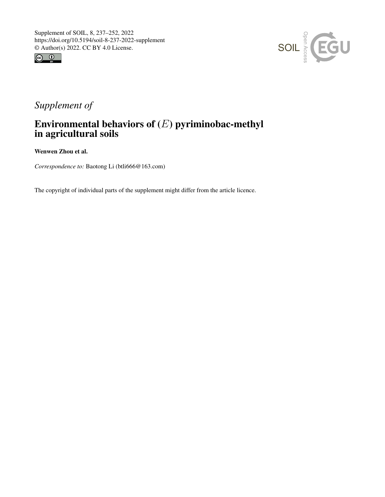



# *Supplement of*

## Environmental behaviors of  $(E)$  pyriminobac-methyl in agricultural soils

Wenwen Zhou et al.

*Correspondence to:* Baotong Li (btli666@163.com)

The copyright of individual parts of the supplement might differ from the article licence.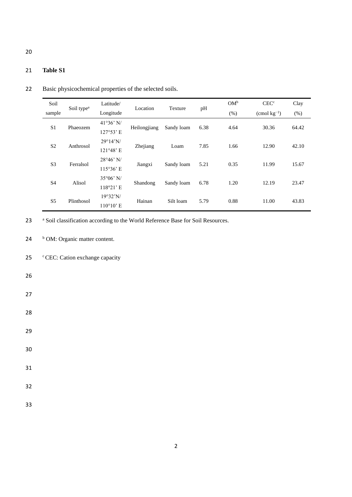| Soil           |                        | Latitude/           | Location<br>Texture |                                    |      | $OM^b$ | CEC <sup>c</sup>       | Clay   |
|----------------|------------------------|---------------------|---------------------|------------------------------------|------|--------|------------------------|--------|
| sample         | Soil type <sup>a</sup> | Longitude           |                     |                                    | pH   | (% )   | $\rm{(cmol\ kg^{-1})}$ | $(\%)$ |
|                | Phaeozem               | $41°36'$ N/         |                     | 6.38<br>Sandy loam<br>Heilongjiang |      | 4.64   |                        | 64.42  |
| S <sub>1</sub> |                        | 127°53' E           |                     |                                    |      |        | 30.36                  |        |
| S <sub>2</sub> | Anthrosol              | $29^{\circ}14'$ N/  | Zhejiang            | Loam                               | 7.85 | 1.66   | 12.90                  | 42.10  |
|                |                        | 121°48' E           |                     |                                    |      |        |                        |        |
| S <sub>3</sub> | Ferralsol              | $28°46'$ N/         | Jiangxi             | Sandy loam                         | 5.21 | 0.35   | 11.99                  | 15.67  |
|                |                        | 115°36' E           |                     |                                    |      |        |                        |        |
| S4             | Alisol                 | $35^{\circ}06'$ N/  | Shandong            | Sandy loam                         | 6.78 | 1.20   | 12.19                  | 23.47  |
|                |                        | 118°21' E           |                     |                                    |      |        |                        |        |
| S <sub>5</sub> | Plinthosol             | 19°32'N/            | Hainan              | Silt loam                          | 5.79 | 0.88   | 11.00                  | 43.83  |
|                |                        | $110^{\circ}10$ ' E |                     |                                    |      |        |                        |        |

22 Basic physicochemical properties of the selected soils.

23 a Soil classification according to the World Reference Base for Soil Resources.

24 b OM: Organic matter content.

25  $\degree$  CEC: Cation exchange capacity

- 26
- 27
- 28
- 29
- 

30

- 31
- 32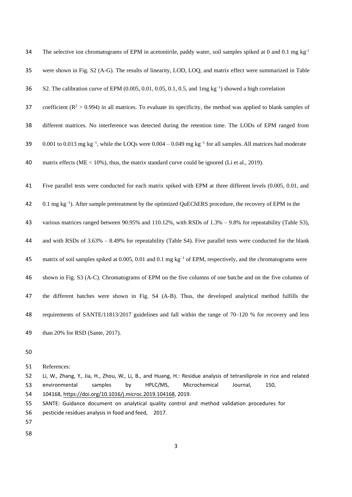| 34 | The selective ion chromatograms of EPM in acetonitrile, paddy water, soil samples spiked at 0 and 0.1 mg $kg^{-1}$                    |
|----|---------------------------------------------------------------------------------------------------------------------------------------|
| 35 | were shown in Fig. S2 (A-G). The results of linearity, LOD, LOQ, and matrix effect were summarized in Table                           |
| 36 | S2. The calibration curve of EPM (0.005, 0.01, 0.05, 0.1, 0.5, and $\text{Img}\,\text{kg}^{-1}$ ) showed a high correlation           |
| 37 | coefficient ( $R^2 > 0.994$ ) in all matrices. To evaluate its specificity, the method was applied to blank samples of                |
| 38 | different matrices. No interference was detected during the retention time. The LODs of EPM ranged from                               |
| 39 | 0.001 to 0.013 mg kg <sup>-1</sup> , while the LOQs were 0.004 – 0.049 mg kg <sup>-1</sup> for all samples. All matrices had moderate |
| 40 | matrix effects ( $ME < 10\%$ ), thus, the matrix standard curve could be ignored (Li et al., 2019).                                   |
| 41 | Five parallel tests were conducted for each matrix spiked with EPM at three different levels (0.005, 0.01, and                        |
| 42 | $0.1$ mg kg <sup>-1</sup> ). After sample pretreatment by the optimized QuEChERS procedure, the recovery of EPM in the                |
| 43 | various matrices ranged between 90.95% and 110.12%, with RSDs of $1.3% - 9.8%$ for repeatability (Table S3),                          |
| 44 | and with RSDs of $3.63\% - 8.49\%$ for repeatability (Table S4). Five parallel tests were conducted for the blank                     |
| 45 | matrix of soil samples spiked at 0.005, 0.01 and 0.1 mg kg <sup>-1</sup> of EPM, respectively, and the chromatograms were             |
| 46 | shown in Fig. S3 (A-C). Chromatograms of EPM on the five columns of one batche and on the five columns of                             |
| 47 | the different batches were shown in Fig. S4 (A-B). Thus, the developed analytical method fulfills the                                 |
| 48 | requirements of SANTE/11813/2017 guidelines and fall within the range of 70–120 % for recovery and less                               |
| 49 | than 20% for RSD (Sante, 2017).                                                                                                       |
| 50 |                                                                                                                                       |

 References:

 Li, W., Zhang, Y., Jia, H., Zhou, W., Li, B., and Huang, H.: Residue analysis of tetraniliprole in rice and related environmental samples by HPLC/MS, Microchemical Journal, 150, [104168, https://doi.org/10.1016/j.microc.2019.](https://doi.org/10.1016/j.microc.2019.104168)104168, 2019.

- SANTE: Guidance document on analytical quality control and method validation procedures for
- pesticide residues analysis in food and feed, 2017.
- 
-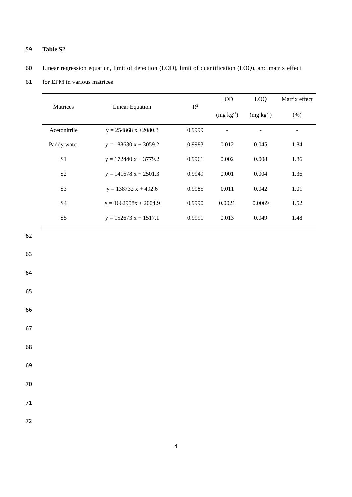61 for EPM in various matrices

|                 |                                 | $\mathbb{R}^2$ | <b>LOD</b>  | LOQ         | Matrix effect |
|-----------------|---------------------------------|----------------|-------------|-------------|---------------|
| <b>Matrices</b> | <b>Linear Equation</b>          |                | $(mg kg-1)$ | $(mg kg-1)$ | (% )          |
| Acetonitrile    | $y = 254868 \text{ x} + 2080.3$ | 0.9999         |             |             |               |
| Paddy water     | $y = 188630 x + 3059.2$         | 0.9983         | 0.012       | 0.045       | 1.84          |
| S <sub>1</sub>  | $y = 172440 x + 3779.2$         | 0.9961         | 0.002       | 0.008       | 1.86          |
| S <sub>2</sub>  | $y = 141678 x + 2501.3$         | 0.9949         | 0.001       | 0.004       | 1.36          |
| S <sub>3</sub>  | $y = 138732 x + 492.6$          | 0.9985         | 0.011       | 0.042       | 1.01          |
| <b>S4</b>       | $y = 1662958x + 2004.9$         | 0.9990         | 0.0021      | 0.0069      | 1.52          |
| S <sub>5</sub>  | $y = 152673$ x + 1517.1         | 0.9991         | 0.013       | 0.049       | 1.48          |

62

63

64

65

66

67

68

69

70

71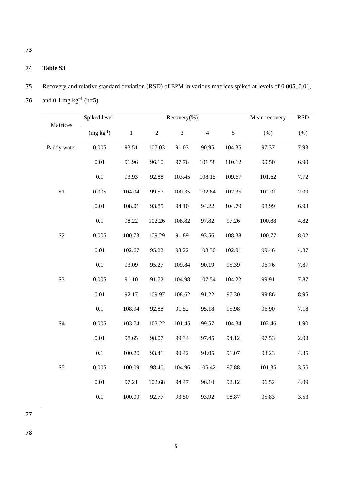#### 74 **Table S3**

- 75 Recovery and relative standard deviation (RSD) of EPM in various matrices spiked at levels of 0.005, 0.01,
- 76 and 0.1 mg kg<sup>-1</sup> (n=5)

| Matrices       | Spiked level |             | Recovery(%)    | Mean recovery | <b>RSD</b>     |               |        |      |
|----------------|--------------|-------------|----------------|---------------|----------------|---------------|--------|------|
|                | $(mg kg-1)$  | $\mathbf 1$ | $\overline{2}$ | 3             | $\overline{4}$ | $\mathfrak s$ | (% )   | (% ) |
| Paddy water    | 0.005        | 93.51       | 107.03         | 91.03         | 90.95          | 104.35        | 97.37  | 7.93 |
|                | 0.01         | 91.96       | 96.10          | 97.76         | 101.58         | 110.12        | 99.50  | 6.90 |
|                | 0.1          | 93.93       | 92.88          | 103.45        | 108.15         | 109.67        | 101.62 | 7.72 |
| S <sub>1</sub> | 0.005        | 104.94      | 99.57          | 100.35        | 102.84         | 102.35        | 102.01 | 2.09 |
|                | 0.01         | 108.01      | 93.85          | 94.10         | 94.22          | 104.79        | 98.99  | 6.93 |
|                | $0.1\,$      | 98.22       | 102.26         | 108.82        | 97.82          | 97.26         | 100.88 | 4.82 |
| S <sub>2</sub> | 0.005        | 100.73      | 109.29         | 91.89         | 93.56          | 108.38        | 100.77 | 8.02 |
|                | 0.01         | 102.67      | 95.22          | 93.22         | 103.30         | 102.91        | 99.46  | 4.87 |
|                | 0.1          | 93.09       | 95.27          | 109.84        | 90.19          | 95.39         | 96.76  | 7.87 |
| S <sub>3</sub> | 0.005        | 91.10       | 91.72          | 104.98        | 107.54         | 104.22        | 99.91  | 7.87 |
|                | 0.01         | 92.17       | 109.97         | 108.62        | 91.22          | 97.30         | 99.86  | 8.95 |
|                | 0.1          | 108.94      | 92.88          | 91.52         | 95.18          | 95.98         | 96.90  | 7.18 |
| S4             | 0.005        | 103.74      | 103.22         | 101.45        | 99.57          | 104.34        | 102.46 | 1.90 |
|                | $0.01\,$     | 98.65       | 98.07          | 99.34         | 97.45          | 94.12         | 97.53  | 2.08 |
|                | 0.1          | 100.20      | 93.41          | 90.42         | 91.05          | 91.07         | 93.23  | 4.35 |
| S <sub>5</sub> | 0.005        | 100.09      | 98.40          | 104.96        | 105.42         | 97.88         | 101.35 | 3.55 |
|                | 0.01         | 97.21       | 102.68         | 94.47         | 96.10          | 92.12         | 96.52  | 4.09 |
|                | 0.1          | 100.09      | 92.77          | 93.50         | 93.92          | 98.87         | 95.83  | 3.53 |

77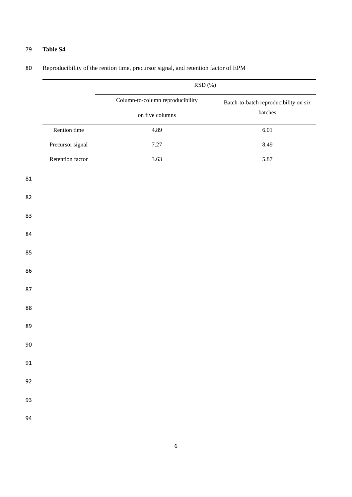# RSD (%) Column-to-column reproducibility on five columns Batch-to-batch reproducibility on six batches 4.89 6.01 7.27 8.49 Rention time Precursor signal Retention factor 3.63 5.87

#### Reproducibility of the rention time, precursor signal, and retention factor of EPM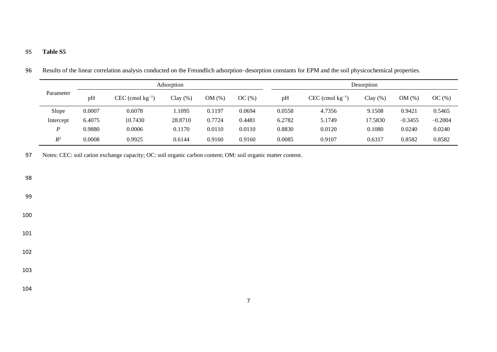|           |        |                         | Adsorption |          |        | Desorption |                         |             |           |           |  |
|-----------|--------|-------------------------|------------|----------|--------|------------|-------------------------|-------------|-----------|-----------|--|
| Parameter | pH     | $CEC$ (cmol $kg^{-1}$ ) | $Clay(\%)$ | $OM(\%)$ | OC(%)  | pH         | $CEC$ (cmol $kg^{-1}$ ) | Clay $(\%)$ | OM(%)     | OC(%)     |  |
| Slope     | 0.0007 | 0.6078                  | 1.1095     | 0.1197   | 0.0694 | 0.0558     | 4.7356                  | 9.1508      | 0.9421    | 0.5465    |  |
| Intercept | 6.4075 | 10.7430                 | 28.8710    | 0.7724   | 0.4481 | 6.2782     | 5.1749                  | 17.5830     | $-0.3455$ | $-0.2004$ |  |
| P         | 0.9880 | 0.0006                  | 0.1170     | 0.0110   | 0.0110 | 0.8830     | 0.0120                  | 0.1080      | 0.0240    | 0.0240    |  |
| $R^2$     | 0.0008 | 0.9925                  | 0.6144     | 0.9160   | 0.9160 | 0.0085     | 0.9107                  | 0.6317      | 0.8582    | 0.8582    |  |

96 Results of the linear correlation analysis conducted on the Freundlich adsorption–desorption constants for EPM and the soil physicochemical properties.

97 Notes: CEC: soil cation exchange capacity; OC: soil organic carbon content; OM: soil organic matter content.

98

99

100

101

102

103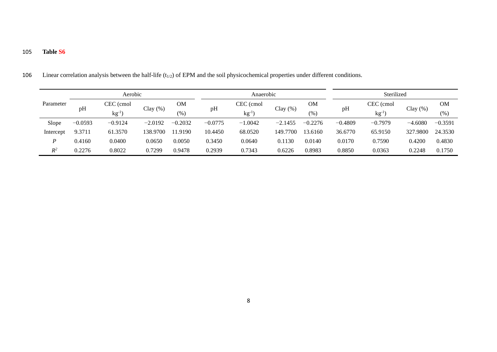|           |           | Aerobic                |             |                 |           | Anaerobic         |             |               |           |                        |           |                     |
|-----------|-----------|------------------------|-------------|-----------------|-----------|-------------------|-------------|---------------|-----------|------------------------|-----------|---------------------|
| Parameter | pH        | CEC (cmol<br>$kg^{-1}$ | Clay $(\%)$ | <b>OM</b><br>(% | pH        | CEC (cmol<br>kg-l | Clay $(\%)$ | ΟM<br>$(\% )$ | pH        | CEC (cmol<br>$kg^{-1}$ | Clay(%)   | <b>OM</b><br>$(\%)$ |
| Slope     | $-0.0593$ | $-0.9124$              | $-2.0192$   | $-0.2032$       | $-0.0775$ | $-1.0042$         | $-2.1455$   | $-0.2276$     | $-0.4809$ | $-0.7979$              | $-4.6080$ | $-0.3591$           |
| Intercept | 9.3711    | 61.3570                | 138.9700    | 11.9190         | 10.4450   | 68.0520           | 149,7700    | 13.6160       | 36.6770   | 65.9150                | 327.9800  | 24.3530             |
| P         | 0.4160    | 0.0400                 | 0.0650      | 0.0050          | 0.3450    | 0.0640            | 0.1130      | 0.0140        | 0.0170    | 0.7590                 | 0.4200    | 0.4830              |
| $R^2$     | 0.2276    | 0.8022                 | 0.7299      | 0.9478          | 0.2939    | 0.7343            | 0.6226      | 0.8983        | 0.8850    | 0.0363                 | 0.2248    | 0.1750              |

106 Linear correlation analysis between the half-life  $(t_{1/2})$  of EPM and the soil physicochemical properties under different conditions.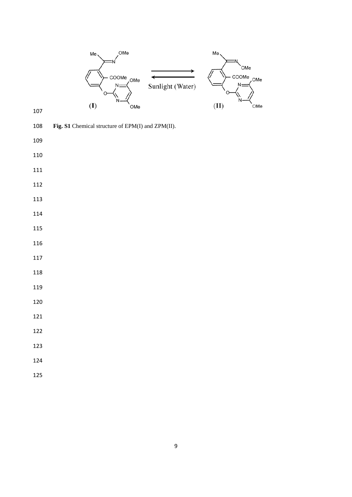

- 
- **Fig. S1** Chemical structure of EPM(I) and ZPM(II).
- 
- 
- 
- 
- 
- 
- 
- 
- 
- 

- 
- 
- 
- 
- 
- 
- 
- 
-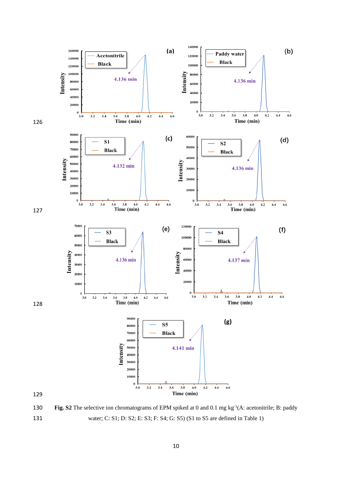

130 **Fig. S2** The selective ion chromatograms of EPM spiked at 0 and 0.1 mg kg<sup>-1</sup>(A: acetonitrile; B: paddy 131 water; C: S1; D: S2; E: S3; F: S4; G: S5) (S1 to S5 are defined in Table 1)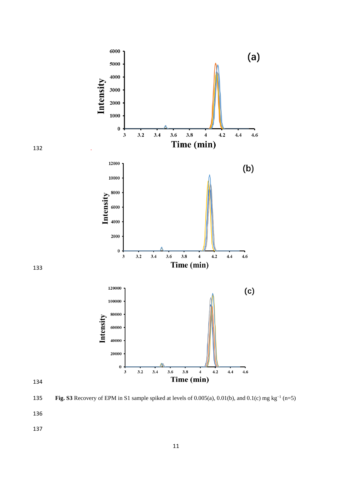

**Fig. S3** Recovery of EPM in S1 sample spiked at levels of 0.005(a), 0.01(b), and 0.1(c) mg kg<sup>-1</sup> (n=5)